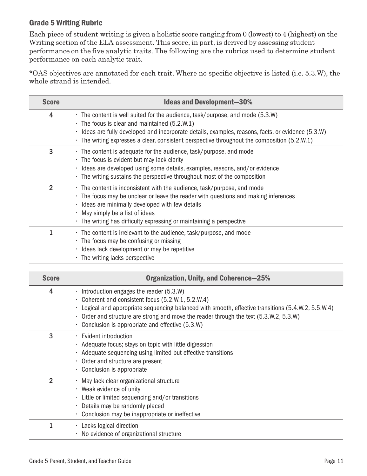## Grade 5 Writing Rubric

Each piece of student writing is given a holistic score ranging from 0 (lowest) to 4 (highest) on the Writing section of the ELA assessment. This score, in part, is derived by assessing student performance on the five analytic traits. The following are the rubrics used to determine student performance on each analytic trait.

\*OAS objectives are annotated for each trait. Where no specific objective is listed (i.e. 5.3.W), the whole strand is intended.

| <b>Score</b>   | <b>Ideas and Development-30%</b>                                                                                                                                                                                                                                                                                                                    |
|----------------|-----------------------------------------------------------------------------------------------------------------------------------------------------------------------------------------------------------------------------------------------------------------------------------------------------------------------------------------------------|
| 4              | The content is well suited for the audience, task/purpose, and mode (5.3.W)<br>The focus is clear and maintained (5.2.W.1)<br>$\blacksquare$<br>Ideas are fully developed and incorporate details, examples, reasons, facts, or evidence (5.3.W)<br>The writing expresses a clear, consistent perspective throughout the composition (5.2.W.1)<br>٠ |
| 3              | The content is adequate for the audience, task/purpose, and mode<br>$\blacksquare$<br>The focus is evident but may lack clarity<br>$\blacksquare$<br>Ideas are developed using some details, examples, reasons, and/or evidence<br>٠<br>The writing sustains the perspective throughout most of the composition                                     |
| $\overline{2}$ | The content is inconsistent with the audience, task/purpose, and mode<br>The focus may be unclear or leave the reader with questions and making inferences<br>٠<br>Ideas are minimally developed with few details<br>May simply be a list of ideas<br>The writing has difficulty expressing or maintaining a perspective                            |
| 1              | The content is irrelevant to the audience, task/purpose, and mode<br>The focus may be confusing or missing<br>$\mathcal{L}_{\mathcal{A}}$<br>Ideas lack development or may be repetitive<br>The writing lacks perspective                                                                                                                           |

| <b>Score</b>   | <b>Organization, Unity, and Coherence-25%</b>                                                                                                                                                                                                                                                                                               |
|----------------|---------------------------------------------------------------------------------------------------------------------------------------------------------------------------------------------------------------------------------------------------------------------------------------------------------------------------------------------|
| 4              | Introduction engages the reader (5.3.W)<br>Coherent and consistent focus (5.2.W.1, 5.2.W.4)<br>Logical and appropriate sequencing balanced with smooth, effective transitions (5.4.W.2, 5.5.W.4)<br>Order and structure are strong and move the reader through the text (5.3.W.2, 5.3.W)<br>Conclusion is appropriate and effective (5.3.W) |
| 3              | Evident introduction<br>Adequate focus; stays on topic with little digression<br>Adequate sequencing using limited but effective transitions<br>Order and structure are present<br>Conclusion is appropriate                                                                                                                                |
| $\overline{2}$ | May lack clear organizational structure<br>Weak evidence of unity<br>Little or limited sequencing and/or transitions<br>Details may be randomly placed<br>Conclusion may be inappropriate or ineffective                                                                                                                                    |
| 1              | Lacks logical direction<br>No evidence of organizational structure                                                                                                                                                                                                                                                                          |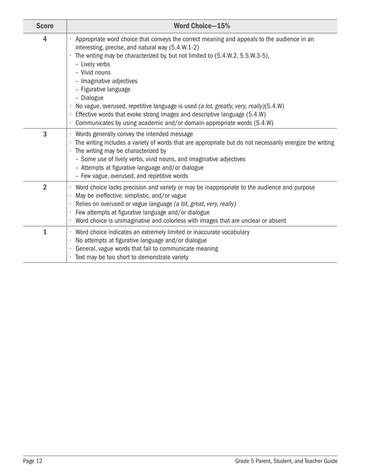| <b>Score</b>   | <b>Word Choice-15%</b>                                                                                                                                                                                                                                                                                                                                                                                                                                                                                                                                                                 |
|----------------|----------------------------------------------------------------------------------------------------------------------------------------------------------------------------------------------------------------------------------------------------------------------------------------------------------------------------------------------------------------------------------------------------------------------------------------------------------------------------------------------------------------------------------------------------------------------------------------|
| 4              | Appropriate word choice that conveys the correct meaning and appeals to the audience in an<br>interesting, precise, and natural way (5.4.W.1-2)<br>The writing may be characterized by, but not limited to (5.4.W.2, 5.5.W.3-5),<br>- Lively verbs<br>- Vivid nouns<br>- Imaginative adjectives<br>- Figurative language<br>- Dialogue<br>No vague, overused, repetitive language is used (a lot, greatly, very, really)(5.4.W)<br>Effective words that evoke strong images and descriptive language (5.4.W)<br>Communicates by using academic and/or domain-appropriate words (5.4.W) |
| 3              | Words generally convey the intended message<br>The writing includes a variety of words that are appropriate but do not necessarily energize the writing<br>The writing may be characterized by<br>- Some use of lively verbs, vivid nouns, and imaginative adjectives<br>- Attempts at figurative language and/or dialogue<br>- Few vague, overused, and repetitive words                                                                                                                                                                                                              |
| $\overline{2}$ | Word choice lacks precision and variety or may be inappropriate to the audience and purpose<br>May be ineffective, simplistic, and/or vague<br>Relies on overused or vague language (a lot, great, very, really)<br>Few attempts at figurative language and/or dialogue<br>Word choice is unimaginative and colorless with images that are unclear or absent                                                                                                                                                                                                                           |
| $\overline{1}$ | Word choice indicates an extremely limited or inaccurate vocabulary<br>٠<br>No attempts at figurative language and/or dialogue<br>General, vague words that fail to communicate meaning<br>Text may be too short to demonstrate variety                                                                                                                                                                                                                                                                                                                                                |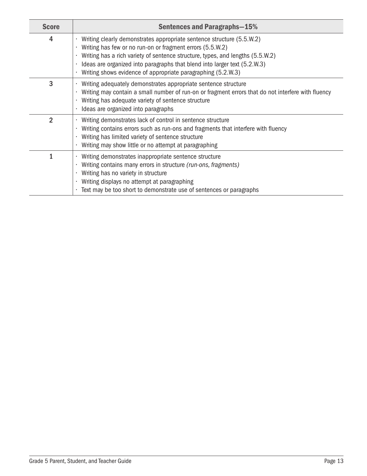| <b>Score</b>   | <b>Sentences and Paragraphs-15%</b>                                                                                                                                                                                                                                                                                                                               |
|----------------|-------------------------------------------------------------------------------------------------------------------------------------------------------------------------------------------------------------------------------------------------------------------------------------------------------------------------------------------------------------------|
| 4              | Writing clearly demonstrates appropriate sentence structure (5.5.W.2)<br>Writing has few or no run-on or fragment errors (5.5.W.2)<br>Writing has a rich variety of sentence structure, types, and lengths (5.5.W.2)<br>Ideas are organized into paragraphs that blend into larger text (5.2.W.3)<br>Writing shows evidence of appropriate paragraphing (5.2.W.3) |
| 3              | Writing adequately demonstrates appropriate sentence structure<br>Writing may contain a small number of run-on or fragment errors that do not interfere with fluency<br>Writing has adequate variety of sentence structure<br>Ideas are organized into paragraphs                                                                                                 |
| $\overline{2}$ | Writing demonstrates lack of control in sentence structure<br>Writing contains errors such as run-ons and fragments that interfere with fluency<br>Writing has limited variety of sentence structure<br>Writing may show little or no attempt at paragraphing                                                                                                     |
| 1              | Writing demonstrates inappropriate sentence structure<br>Writing contains many errors in structure (run-ons, fragments)<br>Writing has no variety in structure<br>Writing displays no attempt at paragraphing<br>Text may be too short to demonstrate use of sentences or paragraphs                                                                              |